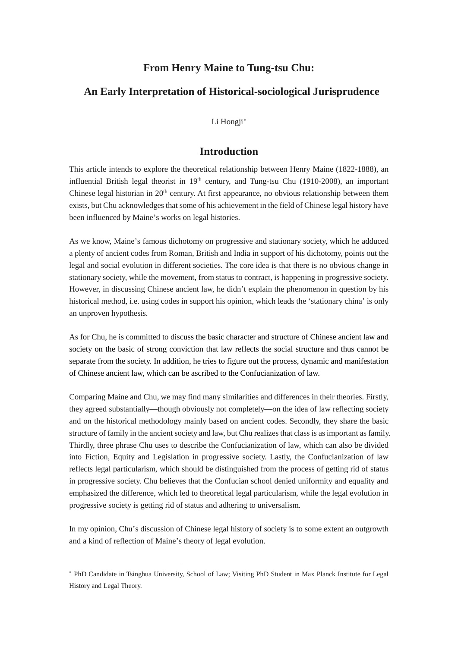# **From Henry Maine to Tung-tsu Chu:**

# **An Early Interpretation of Historical-sociological Jurisprudence**

Li Hongji[∗](#page-0-0)

# **Introduction**

This article intends to explore the theoretical relationship between Henry Maine (1822-1888), an influential British legal theorist in  $19<sup>th</sup>$  century, and Tung-tsu Chu (1910-2008), an important Chinese legal historian in 20<sup>th</sup> century. At first appearance, no obvious relationship between them exists, but Chu acknowledges that some of his achievement in the field of Chinese legal history have been influenced by Maine's works on legal histories.

As we know, Maine's famous dichotomy on progressive and stationary society, which he adduced a plenty of ancient codes from Roman, British and India in support of his dichotomy, points out the legal and social evolution in different societies. The core idea is that there is no obvious change in stationary society, while the movement, from status to contract, is happening in progressive society. However, in discussing Chinese ancient law, he didn't explain the phenomenon in question by his historical method, i.e. using codes in support his opinion, which leads the 'stationary china' is only an unproven hypothesis.

As for Chu, he is committed to discuss the basic character and structure of Chinese ancient law and society on the basic of strong conviction that law reflects the social structure and thus cannot be separate from the society. In addition, he tries to figure out the process, dynamic and manifestation of Chinese ancient law, which can be ascribed to the Confucianization of law.

Comparing Maine and Chu, we may find many similarities and differences in their theories. Firstly, they agreed substantially—though obviously not completely—on the idea of law reflecting society and on the historical methodology mainly based on ancient codes. Secondly, they share the basic structure of family in the ancient society and law, but Chu realizes that class is asimportant as family. Thirdly, three phrase Chu uses to describe the Confucianization of law, which can also be divided into Fiction, Equity and Legislation in progressive society. Lastly, the Confucianization of law reflects legal particularism, which should be distinguished from the process of getting rid of status in progressive society. Chu believes that the Confucian school denied uniformity and equality and emphasized the difference, which led to theoretical legal particularism, while the legal evolution in progressive society is getting rid of status and adhering to universalism.

In my opinion, Chu's discussion of Chinese legal history of society is to some extent an outgrowth and a kind of reflection of Maine's theory of legal evolution.

-

<span id="page-0-0"></span><sup>∗</sup> PhD Candidate in Tsinghua University, School of Law; Visiting PhD Student in Max Planck Institute for Legal History and Legal Theory.